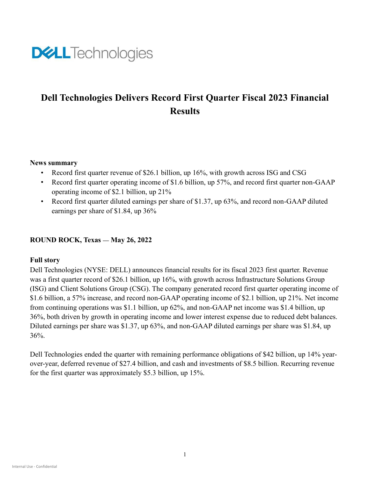

# **Dell Technologies Delivers Record First Quarter Fiscal 2023 Financial Results**

# **News summary**

- Record first quarter revenue of \$26.1 billion, up 16%, with growth across ISG and CSG
- Record first quarter operating income of \$1.6 billion, up 57%, and record first quarter non-GAAP operating income of \$2.1 billion, up 21%
- Record first quarter diluted earnings per share of \$1.37, up 63%, and record non-GAAP diluted earnings per share of \$1.84, up 36%

# **ROUND ROCK, Texas — May 26, 2022**

# **Full story**

Dell Technologies (NYSE: DELL) announces financial results for its fiscal 2023 first quarter. Revenue was a first quarter record of \$26.1 billion, up 16%, with growth across Infrastructure Solutions Group (ISG) and Client Solutions Group (CSG). The company generated record first quarter operating income of \$1.6 billion, a 57% increase, and record non-GAAP operating income of \$2.1 billion, up 21%. Net income from continuing operations was \$1.1 billion, up 62%, and non-GAAP net income was \$1.4 billion, up 36%, both driven by growth in operating income and lower interest expense due to reduced debt balances. Diluted earnings per share was \$1.37, up 63%, and non-GAAP diluted earnings per share was \$1.84, up 36%.

Dell Technologies ended the quarter with remaining performance obligations of \$42 billion, up 14% yearover-year, deferred revenue of \$27.4 billion, and cash and investments of \$8.5 billion. Recurring revenue for the first quarter was approximately \$5.3 billion, up 15%.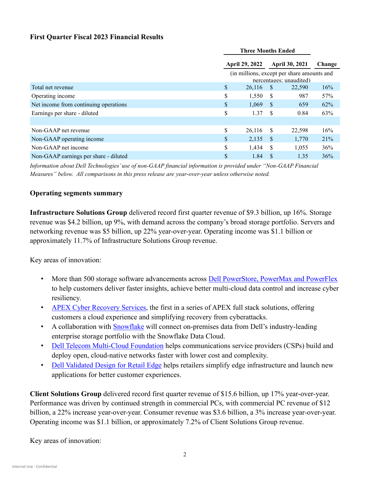# **First Quarter Fiscal 2023 Financial Results**

|                                       |                                                                       | <b>Three Months Ended</b> |      |                |        |  |  |  |
|---------------------------------------|-----------------------------------------------------------------------|---------------------------|------|----------------|--------|--|--|--|
|                                       |                                                                       | April 29, 2022            |      | April 30, 2021 | Change |  |  |  |
|                                       | (in millions, except per share amounts and<br>nercentages: unaudited) |                           |      |                |        |  |  |  |
| Total net revenue                     | \$                                                                    | 26,116                    | - \$ | 22,590         | 16%    |  |  |  |
| Operating income                      | \$                                                                    | 1,550                     | - \$ | 987            | 57%    |  |  |  |
| Net income from continuing operations | \$                                                                    | 1,069                     | - \$ | 659            | 62%    |  |  |  |
| Earnings per share - diluted          | \$                                                                    | 1.37                      | S    | 0.84           | 63%    |  |  |  |
|                                       |                                                                       |                           |      |                |        |  |  |  |
| Non-GAAP net revenue                  | \$                                                                    | 26,116 \$                 |      | 22,598         | 16%    |  |  |  |
| Non-GAAP operating income             | \$                                                                    | 2,135                     | - \$ | 1,770          | 21%    |  |  |  |
| Non-GAAP net income                   | \$                                                                    | 1,434                     | -S   | 1,055          | 36%    |  |  |  |
| Non-GAAP earnings per share - diluted | \$                                                                    | 1.84                      | S    | 1.35           | 36%    |  |  |  |

*Information about Dell Technologies' use of non-GAAP financial information is provided under "Non-GAAP Financial Measures" below. All comparisons in this press release are year-over-year unless otherwise noted.*

# **Operating segments summary**

**Infrastructure Solutions Group** delivered record first quarter revenue of \$9.3 billion, up 16%. Storage revenue was \$4.2 billion, up 9%, with demand across the company's broad storage portfolio. Servers and networking revenue was \$5 billion, up 22% year-over-year. Operating income was \$1.1 billion or approximately 11.7% of Infrastructure Solutions Group revenue.

Key areas of innovation:

- More than 500 storage software advancements across **Dell PowerStore**, PowerMax and PowerFlex to help customers deliver faster insights, achieve better multi-cloud data control and increase cyber resiliency.
- [APEX Cyber Recovery](https://www.dell.com/en-us/dt/corporate/newsroom/announcements/detailpage.press-releases~usa~2022~05~02052022-dell-technologie-expands-multi-cloud-experiences-across-cyber-recovery-data-analytics-and-partner-ecosystem.htm#/filter-on/Country:en-us) Services, the first in a series of APEX full stack solutions, offering customers a cloud experience and simplifying recovery from cyberattacks.
- A collaboration with [Snowflake](https://www.dell.com/en-us/dt/corporate/newsroom/announcements/detailpage.press-releases~usa~2022~05~02052022-dell-technologies-and-snowflake-to-help-organizations-simplify-data-access-and-accelerate-insights.htm#/filter-on/Country:en-us) will connect on-premises data from Dell's industry-leading enterprise storage portfolio with the Snowflake Data Cloud.
- [Dell Telecom Multi-Cloud Foundation](https://www.dell.com/en-us/dt/corporate/newsroom/announcements/detailpage.press-releases~usa~2022~02~20220222-dell-technologies-telecom-solutions-simplify-and-accelerate-modern-open-network-deployments.htm#/filter-on/Country:en-us) helps communications service providers (CSPs) build and deploy open, cloud-native networks faster with lower cost and complexity.
- [Dell Validated Design for Retail Edge](https://www.dell.com/en-us/dt/corporate/newsroom/announcements/detailpage.press-releases~usa~2022~04~21042022-dell-technologies-expands-edge-innovations-for-retailers.htm#/filter-on/Country:en-us) helps retailers simplify edge infrastructure and launch new applications for better customer experiences.

**Client Solutions Group** delivered record first quarter revenue of \$15.6 billion, up 17% year-over-year. Performance was driven by continued strength in commercial PCs, with commercial PC revenue of \$12 billion, a 22% increase year-over-year. Consumer revenue was \$3.6 billion, a 3% increase year-over-year. Operating income was \$1.1 billion, or approximately 7.2% of Client Solutions Group revenue.

Key areas of innovation: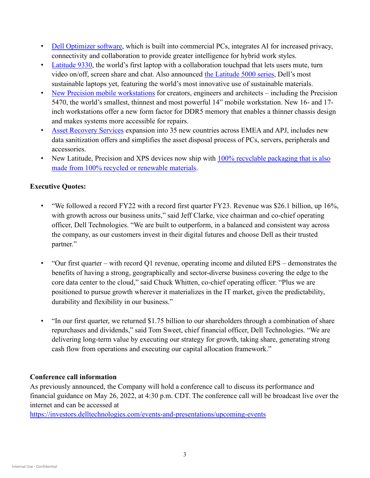- [Dell Optimizer software,](https://www.dell.com/en-us/dt/corporate/newsroom/announcements/detailpage.press-releases~usa~2022~03~31032022-dell-technologies-elevates-the-hybrid-work-experience.htm#/filter-on/Country:en-us) which is built into commercial PCs, integrates AI for increased privacy, connectivity and collaboration to provide greater intelligence for hybrid work styles.
- [Latitude 9330,](https://www.dell.com/en-us/blog/reimagined-work-demands-redesigned-machines/) the world's first laptop with a collaboration touchpad that lets users mute, turn video on/off, screen share and chat. Also announced [the Latitude 5000 series,](https://www.dell.com/en-us/dt/corporate/newsroom/announcements/detailpage.press-releases~usa~2022~03~31032022-new-latitude-5000-series-are-dells-most-sustainable-laptops-yet.htm#/filter-on/Country:en-us) Dell's most sustainable laptops yet, featuring the world's most innovative use of sustainable materials.
- [New Precision mobile workstations](https://www.dell.com/en-us/blog/reimagined-work-demands-redesigned-machines/) for creators, engineers and architects including the Precision 5470, the world's smallest, thinnest and most powerful 14" mobile workstation. New 16- and 17 inch workstations offer a new form factor for DDR5 memory that enables a thinner chassis design and makes systems more accessible for repairs.
- [Asset Recovery Services](https://www.dell.com/en-us/dt/services/deployment-services/asset-recovery-services.htm) expansion into 35 new countries across EMEA and APJ, includes new data sanitization offers and simplifies the asset disposal process of PCs, servers, peripherals and accessories.
- New Latitude, Precision and XPS devices now ship with 100% recyclable packaging that is also [made from](https://www.dell.com/en-us/blog/reimagined-work-demands-redesigned-machines/) [100% recycled or renewable materials.](https://www.dell.com/en-us/blog/reimagined-work-demands-redesigned-machines/)

# **Executive Quotes:**

- "We followed a record FY22 with a record first quarter FY23. Revenue was \$26.1 billion, up 16%, with growth across our business units," said Jeff Clarke, vice chairman and co-chief operating officer, Dell Technologies. "We are built to outperform, in a balanced and consistent way across the company, as our customers invest in their digital futures and choose Dell as their trusted partner."
- "Our first quarter with record Q1 revenue, operating income and diluted EPS demonstrates the benefits of having a strong, geographically and sector-diverse business covering the edge to the core data center to the cloud," said Chuck Whitten, co-chief operating officer. "Plus we are positioned to pursue growth wherever it materializes in the IT market, given the predictability, durability and flexibility in our business."
- "In our first quarter, we returned \$1.75 billion to our shareholders through a combination of share repurchases and dividends," said Tom Sweet, chief financial officer, Dell Technologies. "We are delivering long-term value by executing our strategy for growth, taking share, generating strong cash flow from operations and executing our capital allocation framework."

# **Conference call information**

As previously announced, the Company will hold a conference call to discuss its performance and financial guidance on May 26, 2022, at 4:30 p.m. CDT. The conference call will be broadcast live over the internet and can be accessed at

<https://investors.delltechnologies.com/events-and-presentations/upcoming-events>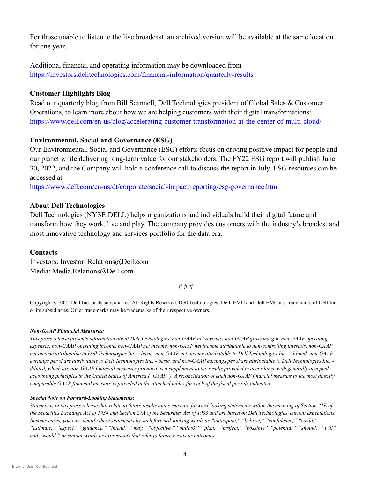For those unable to listen to the live broadcast, an archived version will be available at the same location for one year.

Additional financial and operating information may be downloaded from <https://investors.delltechnologies.com/financial-information/quarterly-results>

# **Customer Highlights Blog**

Read our quarterly blog from Bill Scannell, Dell Technologies president of Global Sales & Customer Operations, to learn more about how we are helping customers with their digital transformations: <https://www.dell.com/en-us/blog/accelerating-customer-transformation-at-the-center-of-multi-cloud/>

# **Environmental, Social and Governance (ESG)**

Our Environmental, Social and Governance (ESG) efforts focus on driving positive impact for people and our planet while delivering long-term value for our stakeholders. The FY22 ESG report will publish June 30, 2022, and the Company will hold a conference call to discuss the report in July. ESG resources can be accessed at

<https://www.dell.com/en-us/dt/corporate/social-impact/reporting/esg-governance.htm>

## **About Dell Technologies**

Dell Technologies (NYSE:DELL) helps organizations and individuals build their digital future and transform how they work, live and play. The company provides customers with the industry's broadest and most innovative technology and services portfolio for the data era.

## **Contacts**

Investors: Investor\_Relations@Dell.com Media: Media.Relations@Dell.com

# # #

Copyright © 2022 Dell Inc. or its subsidiaries. All Rights Reserved. Dell Technologies, Dell, EMC and Dell EMC are trademarks of Dell Inc. or its subsidiaries. Other trademarks may be trademarks of their respective owners.

#### *Non-GAAP Financial Measures:*

*This press release presents information about Dell Technologies' non-GAAP net revenue, non-GAAP gross margin, non-GAAP operating expenses, non-GAAP operating income, non-GAAP net income, non-GAAP net income attributable to non-controlling interests, non-GAAP net income attributable to Dell Technologies Inc. - basic, non-GAAP net income attributable to Dell Technologies Inc. - diluted, non-GAAP earnings per share attributable to Dell Technologies Inc. - basic, and non-GAAP earnings per share attributable to Dell Technologies Inc. diluted, which are non-GAAP financial measures provided as a supplement to the results provided in accordance with generally accepted accounting principles in the United States of America ("GAAP"). A reconciliation of each non-GAAP financial measure to the most directly comparable GAAP financial measure is provided in the attached tables for each of the fiscal periods indicated.*

#### *Special Note on Forward-Looking Statements:*

*Statements in this press release that relate to future results and events are forward-looking statements within the meaning of Section 21E of the Securities Exchange Act of 1934 and Section 27A of the Securities Act of 1933 and are based on Dell Technologies' current expectations. In some cases, you can identify these statements by such forward-looking words as "anticipate," "believe," "confidence," "could," "estimate," "expect," "guidance," "intend," "may," "objective," "outlook," "plan," "project," "possible," "potential," "should," "will" and "would," or similar words or expressions that refer to future events or outcomes.*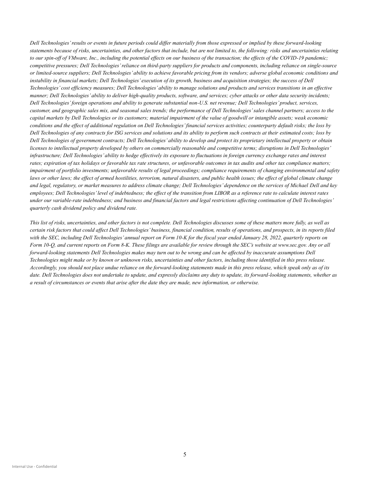*Dell Technologies' results or events in future periods could differ materially from those expressed or implied by these forward-looking statements because of risks, uncertainties, and other factors that include, but are not limited to, the following: risks and uncertainties relating to our spin-off of VMware, Inc., including the potential effects on our business of the transaction; the effects of the COVID-19 pandemic; competitive pressures; Dell Technologies' reliance on third-party suppliers for products and components, including reliance on single-source or limited-source suppliers; Dell Technologies' ability to achieve favorable pricing from its vendors; adverse global economic conditions and*  instability in financial markets; Dell Technologies' execution of its growth, business and acquisition strategies; the success of Dell *Technologies' cost efficiency measures; Dell Technologies' ability to manage solutions and products and services transitions in an effective manner; Dell Technologies' ability to deliver high-quality products, software, and services; cyber attacks or other data security incidents; Dell Technologies' foreign operations and ability to generate substantial non-U.S. net revenue; Dell Technologies' product, services, customer, and geographic sales mix, and seasonal sales trends; the performance of Dell Technologies' sales channel partners; access to the capital markets by Dell Technologies or its customers; material impairment of the value of goodwill or intangible assets; weak economic conditions and the effect of additional regulation on Dell Technologies' financial services activities; counterparty default risks; the loss by Dell Technologies of any contracts for ISG services and solutions and its ability to perform such contracts at their estimated costs; loss by Dell Technologies of government contracts; Dell Technologies' ability to develop and protect its proprietary intellectual property or obtain licenses to intellectual property developed by others on commercially reasonable and competitive terms; disruptions in Dell Technologies' infrastructure; Dell Technologies' ability to hedge effectively its exposure to fluctuations in foreign currency exchange rates and interest rates; expiration of tax holidays or favorable tax rate structures, or unfavorable outcomes in tax audits and other tax compliance matters; impairment of portfolio investments; unfavorable results of legal proceedings; compliance requirements of changing environmental and safety laws or other laws; the effect of armed hostilities, terrorism, natural disasters, and public health issues; the effect of global climate change and legal, regulatory, or market measures to address climate change; Dell Technologies' dependence on the services of Michael Dell and key employees; Dell Technologies' level of indebtedness; the effect of the transition from LIBOR as a reference rate to calculate interest rates under our variable-rate indebtedness; and business and financial factors and legal restrictions affecting continuation of Dell Technologies' quarterly cash dividend policy and dividend rate.*

*This list of risks, uncertainties, and other factors is not complete. Dell Technologies discusses some of these matters more fully, as well as certain risk factors that could affect Dell Technologies' business, financial condition, results of operations, and prospects, in its reports filed with the SEC, including Dell Technologies' annual report on Form 10-K for the fiscal year ended January 28, 2022, quarterly reports on Form 10-Q, and current reports on Form 8-K. These filings are available for review through the SEC's website at www.sec.gov. Any or all forward-looking statements Dell Technologies makes may turn out to be wrong and can be affected by inaccurate assumptions Dell Technologies might make or by known or unknown risks, uncertainties and other factors, including those identified in this press release. Accordingly, you should not place undue reliance on the forward-looking statements made in this press release, which speak only as of its date. Dell Technologies does not undertake to update, and expressly disclaims any duty to update, its forward-looking statements, whether as a result of circumstances or events that arise after the date they are made, new information, or otherwise.*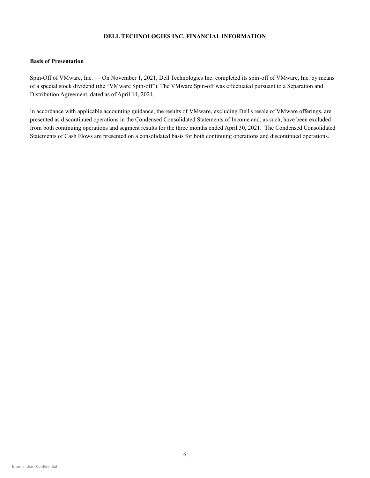#### **DELL TECHNOLOGIES INC. FINANCIAL INFORMATION**

#### **Basis of Presentation**

Spin-Off of VMware, Inc. — On November 1, 2021, Dell Technologies Inc. completed its spin-off of VMware, Inc. by means of a special stock dividend (the "VMware Spin-off"). The VMware Spin-off was effectuated pursuant to a Separation and Distribution Agreement, dated as of April 14, 2021.

In accordance with applicable accounting guidance, the results of VMware, excluding Dell's resale of VMware offerings, are presented as discontinued operations in the Condensed Consolidated Statements of Income and, as such, have been excluded from both continuing operations and segment results for the three months ended April 30, 2021. The Condensed Consolidated Statements of Cash Flows are presented on a consolidated basis for both continuing operations and discontinued operations.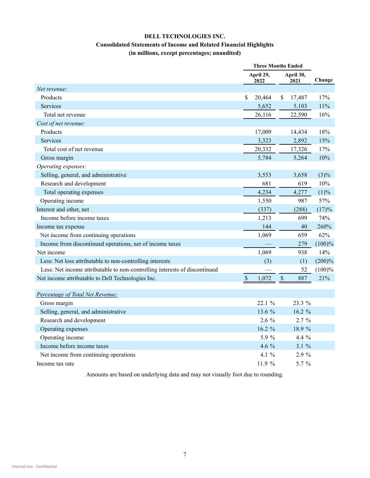# **Consolidated Statements of Income and Related Financial Highlights (in millions, except percentages; unaudited)**

|                                                                            | <b>Three Months Ended</b> |           |                           |                   |         |  |
|----------------------------------------------------------------------------|---------------------------|-----------|---------------------------|-------------------|---------|--|
|                                                                            | April 29,<br>2022         |           |                           | April 30,<br>2021 | Change  |  |
| Net revenue:                                                               |                           |           |                           |                   |         |  |
| Products                                                                   | \$.                       | 20,464    | \$                        | 17,487            | 17%     |  |
| <b>Services</b>                                                            |                           | 5,652     |                           | 5,103             | 11%     |  |
| Total net revenue                                                          |                           | 26,116    |                           | 22,590            | 16%     |  |
| Cost of net revenue:                                                       |                           |           |                           |                   |         |  |
| Products                                                                   |                           | 17,009    |                           | 14,434            | 18%     |  |
| Services                                                                   |                           | 3,323     |                           | 2,892             | 15%     |  |
| Total cost of net revenue                                                  |                           | 20,332    |                           | 17,326            | 17%     |  |
| Gross margin                                                               |                           | 5,784     |                           | 5,264             | 10%     |  |
| Operating expenses:                                                        |                           |           |                           |                   |         |  |
| Selling, general, and administrative                                       |                           | 3,553     |                           | 3,658             | $(3)\%$ |  |
| Research and development                                                   |                           | 681       |                           | 619               | 10%     |  |
| Total operating expenses                                                   |                           | 4,234     |                           | 4,277             | (1)%    |  |
| Operating income                                                           |                           | 1,550     |                           | 987               | 57%     |  |
| Interest and other, net                                                    |                           | (337)     |                           | (288)             | (17)%   |  |
| Income before income taxes                                                 |                           | 1,213     |                           | 699               | 74%     |  |
| Income tax expense                                                         |                           | 144       |                           | 40                | 260%    |  |
| Net income from continuing operations                                      |                           | 1,069     |                           | 659               | 62%     |  |
| Income from discontinued operations, net of income taxes                   |                           |           |                           | 279               | (100)%  |  |
| Net income                                                                 |                           | 1,069     |                           | 938               | 14%     |  |
| Less: Net loss attributable to non-controlling interests                   |                           | (3)       |                           | (1)               | (200)%  |  |
| Less: Net income attributable to non-controlling interests of discontinued |                           |           |                           | 52                | (100)%  |  |
| Net income attributable to Dell Technologies Inc.                          | $\mathbb{S}$              | 1,072     | $\boldsymbol{\mathsf{S}}$ | 887               | 21%     |  |
|                                                                            |                           |           |                           |                   |         |  |
| Percentage of Total Net Revenue:                                           |                           |           |                           |                   |         |  |
| Gross margin                                                               |                           | 22.1 %    |                           | 23.3 %            |         |  |
| Selling, general, and administrative                                       |                           | 13.6 %    |                           | 16.2 %            |         |  |
| Research and development                                                   |                           | 2.6 %     |                           | $2.7 \%$          |         |  |
| Operating expenses                                                         |                           | $16.2 \%$ |                           | 18.9 %            |         |  |
| Operating income                                                           |                           | 5.9 %     |                           | 4.4 %             |         |  |
| Income before income taxes                                                 |                           | 4.6 $%$   |                           | 3.1%              |         |  |
| Net income from continuing operations                                      |                           | 4.1 %     |                           | 2.9 %             |         |  |
| Income tax rate                                                            |                           | 11.9 %    |                           | 5.7 %             |         |  |

Amounts are based on underlying data and may not visually foot due to rounding.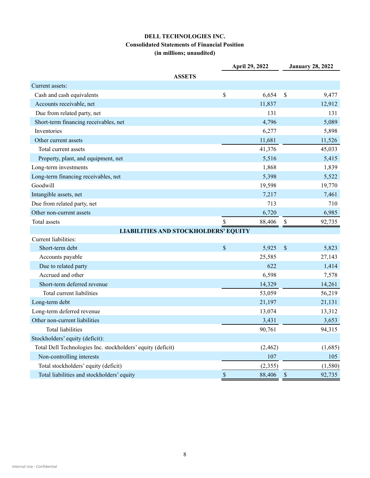# **DELL TECHNOLOGIES INC. Consolidated Statements of Financial Position (in millions; unaudited)**

|                                                             | April 29, 2022            |          |              | <b>January 28, 2022</b> |
|-------------------------------------------------------------|---------------------------|----------|--------------|-------------------------|
| <b>ASSETS</b>                                               |                           |          |              |                         |
| Current assets:                                             |                           |          |              |                         |
| Cash and cash equivalents                                   | \$                        | 6,654    | \$           | 9,477                   |
| Accounts receivable, net                                    |                           | 11,837   |              | 12,912                  |
| Due from related party, net                                 |                           | 131      |              | 131                     |
| Short-term financing receivables, net                       |                           | 4,796    |              | 5,089                   |
| Inventories                                                 |                           | 6,277    |              | 5,898                   |
| Other current assets                                        |                           | 11,681   |              | 11,526                  |
| Total current assets                                        |                           | 41,376   |              | 45,033                  |
| Property, plant, and equipment, net                         |                           | 5,516    |              | 5,415                   |
| Long-term investments                                       |                           | 1,868    |              | 1,839                   |
| Long-term financing receivables, net                        |                           | 5,398    |              | 5,522                   |
| Goodwill                                                    |                           | 19,598   |              | 19,770                  |
| Intangible assets, net                                      |                           | 7,217    |              | 7,461                   |
| Due from related party, net                                 |                           | 713      |              | 710                     |
| Other non-current assets                                    |                           | 6,720    |              | 6,985                   |
| Total assets                                                | \$                        | 88,406   | \$           | 92,735                  |
| <b>LIABILITIES AND STOCKHOLDERS' EQUITY</b>                 |                           |          |              |                         |
| Current liabilities:                                        |                           |          |              |                         |
| Short-term debt                                             | $\boldsymbol{\mathsf{S}}$ | 5,925    | \$           | 5,823                   |
| Accounts payable                                            |                           | 25,585   |              | 27,143                  |
| Due to related party                                        |                           | 622      |              | 1,414                   |
| Accrued and other                                           |                           | 6,598    |              | 7,578                   |
| Short-term deferred revenue                                 |                           | 14,329   |              | 14,261                  |
| Total current liabilities                                   |                           | 53,059   |              | 56,219                  |
| Long-term debt                                              |                           | 21,197   |              | 21,131                  |
| Long-term deferred revenue                                  |                           | 13,074   |              | 13,312                  |
| Other non-current liabilities                               |                           | 3,431    |              | 3,653                   |
| Total liabilities                                           |                           | 90,761   |              | 94,315                  |
| Stockholders' equity (deficit):                             |                           |          |              |                         |
| Total Dell Technologies Inc. stockholders' equity (deficit) |                           | (2, 462) |              | (1,685)                 |
| Non-controlling interests                                   |                           | 107      |              | 105                     |
| Total stockholders' equity (deficit)                        |                           | (2,355)  |              | (1,580)                 |
| Total liabilities and stockholders' equity                  | $\mathbb{S}$              | 88,406   | $\mathbb{S}$ | 92,735                  |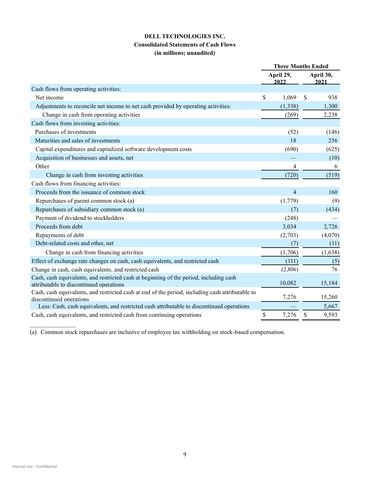## **Consolidated Statements of Cash Flows (in millions; unaudited)**

|                                                                                                                                   |                   | <b>Three Months Ended</b> |    |                   |
|-----------------------------------------------------------------------------------------------------------------------------------|-------------------|---------------------------|----|-------------------|
|                                                                                                                                   | April 29,<br>2022 |                           |    | April 30,<br>2021 |
| Cash flows from operating activities:                                                                                             |                   |                           |    |                   |
| Net income                                                                                                                        | \$                | 1,069                     | \$ | 938               |
| Adjustments to reconcile net income to net cash provided by operating activities:                                                 |                   | (1, 338)                  |    | 1,300             |
| Change in cash from operating activities                                                                                          |                   | (269)                     |    | 2,238             |
| Cash flows from investing activities:                                                                                             |                   |                           |    |                   |
| Purchases of investments                                                                                                          |                   | (52)                      |    | (146)             |
| Maturities and sales of investments                                                                                               |                   | 18                        |    | 256               |
| Capital expenditures and capitalized software development costs                                                                   |                   | (690)                     |    | (625)             |
| Acquisition of businesses and assets, net                                                                                         |                   |                           |    | (10)              |
| Other                                                                                                                             |                   | 4                         |    | 6                 |
| Change in cash from investing activities                                                                                          |                   | (720)                     |    | (519)             |
| Cash flows from financing activities:                                                                                             |                   |                           |    |                   |
| Proceeds from the issuance of common stock                                                                                        |                   | $\overline{4}$            |    | 160               |
| Repurchases of parent common stock (a)                                                                                            |                   | (1,779)                   |    | (9)               |
| Repurchases of subsidiary common stock (a)                                                                                        |                   | (7)                       |    | (434)             |
| Payment of dividend to stockholders                                                                                               |                   | (248)                     |    |                   |
| Proceeds from debt                                                                                                                |                   | 3,034                     |    | 2,726             |
| Repayments of debt                                                                                                                |                   | (2,703)                   |    | (4,070)           |
| Debt-related costs and other, net                                                                                                 |                   | (7)                       |    | (11)              |
| Change in cash from financing activities                                                                                          |                   | (1,706)                   |    | (1,638)           |
| Effect of exchange rate changes on cash, cash equivalents, and restricted cash                                                    |                   | (111)                     |    | (5)               |
| Change in cash, cash equivalents, and restricted cash                                                                             |                   | (2,806)                   |    | 76                |
| Cash, cash equivalents, and restricted cash at beginning of the period, including cash<br>attributable to discontinued operations |                   | 10,082                    |    | 15,184            |
| Cash, cash equivalents, and restricted cash at end of the period, including cash attributable to<br>discontinued operations       |                   | 7,276                     |    | 15,260            |
| Less: Cash, cash equivalents, and restricted cash attributable to discontinued operations                                         |                   |                           |    | 5.667             |
| Cash, cash equivalents, and restricted cash from continuing operations                                                            | \$                | 7,276                     | \$ | 9,593             |

(a) Common stock repurchases are inclusive of employee tax withholding on stock-based compensation.

 $\mathcal{L}_\text{max}$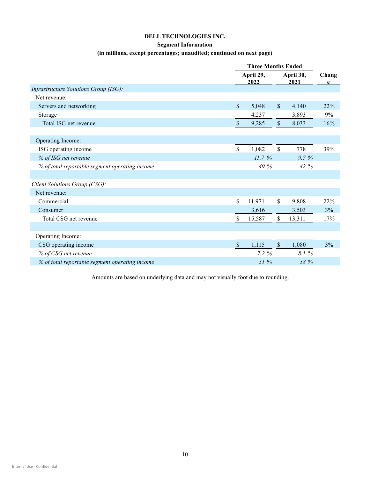## **Segment Information**

## **(in millions, except percentages; unaudited; continued on next page)**

|                                                |                           | <b>Three Months Ended</b> |                   |        |            |
|------------------------------------------------|---------------------------|---------------------------|-------------------|--------|------------|
|                                                |                           | April 29,<br>2022         | April 30,<br>2021 |        | Chang<br>e |
| <b>Infrastructure Solutions Group (ISG):</b>   |                           |                           |                   |        |            |
| Net revenue:                                   |                           |                           |                   |        |            |
| Servers and networking                         | $\mathsf{\$}$             | 5,048                     | $\mathcal{S}$     | 4,140  | 22%        |
| Storage                                        |                           | 4,237                     |                   | 3,893  | 9%         |
| Total ISG net revenue                          | $\mathcal{S}$             | 9,285                     | $\sqrt{\ }$       | 8,033  | 16%        |
|                                                |                           |                           |                   |        |            |
| Operating Income:                              |                           |                           |                   |        |            |
| ISG operating income                           | \$                        | 1,082                     | \$                | 778    | 39%        |
| % of ISG net revenue                           |                           | 11.7%                     |                   | 9.7%   |            |
| % of total reportable segment operating income |                           | 49 %                      |                   | 42 %   |            |
|                                                |                           |                           |                   |        |            |
| <b>Client Solutions Group (CSG):</b>           |                           |                           |                   |        |            |
| Net revenue:                                   |                           |                           |                   |        |            |
| Commercial                                     | \$                        | 11,971                    | \$                | 9,808  | 22%        |
| Consumer                                       |                           | 3,616                     |                   | 3,503  | 3%         |
| Total CSG net revenue                          | $\mathcal{S}$             | 15,587                    | $\$$              | 13,311 | 17%        |
|                                                |                           |                           |                   |        |            |
| Operating Income:                              |                           |                           |                   |        |            |
| CSG operating income                           | $\boldsymbol{\mathsf{S}}$ | 1,115                     | $\sqrt{\ }$       | 1,080  | 3%         |
| % of CSG net revenue                           |                           | 7.2%                      |                   | 8.1%   |            |
| % of total reportable segment operating income |                           | 51%                       |                   | 58 %   |            |

Amounts are based on underlying data and may not visually foot due to rounding.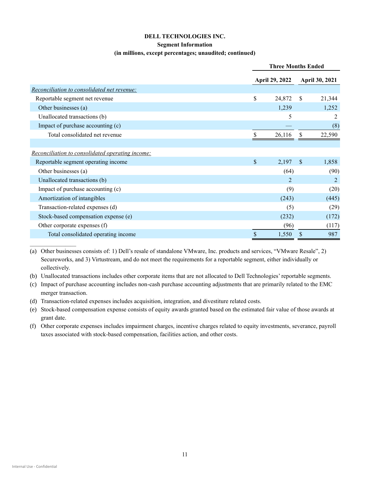#### **Segment Information**

### **(in millions, except percentages; unaudited; continued)**

|                                                         | <b>Three Months Ended</b> |               |                |  |  |
|---------------------------------------------------------|---------------------------|---------------|----------------|--|--|
|                                                         | <b>April 29, 2022</b>     |               | April 30, 2021 |  |  |
| Reconciliation to consolidated net revenue:             |                           |               |                |  |  |
| Reportable segment net revenue                          | \$<br>24,872              | \$.           | 21,344         |  |  |
| Other businesses (a)                                    | 1,239                     |               | 1,252          |  |  |
| Unallocated transactions (b)                            | 5                         |               |                |  |  |
| Impact of purchase accounting (c)                       |                           |               | (8)            |  |  |
| Total consolidated net revenue                          | 26,116                    |               | 22,590         |  |  |
|                                                         |                           |               |                |  |  |
| <b>Reconciliation to consolidated operating income:</b> |                           |               |                |  |  |
| Reportable segment operating income                     | \$<br>2,197               | $\mathcal{S}$ | 1,858          |  |  |
| Other businesses (a)                                    | (64)                      |               | (90)           |  |  |
| Unallocated transactions (b)                            | 2                         |               | $\overline{2}$ |  |  |
| Impact of purchase accounting (c)                       | (9)                       |               | (20)           |  |  |
| Amortization of intangibles                             | (243)                     |               | (445)          |  |  |
| Transaction-related expenses (d)                        | (5)                       |               | (29)           |  |  |
| Stock-based compensation expense (e)                    | (232)                     |               | (172)          |  |  |
| Other corporate expenses (f)                            | (96)                      |               | (117)          |  |  |
| Total consolidated operating income                     | 1,550                     |               | 987            |  |  |

(a) Other businesses consists of: 1) Dell's resale of standalone VMware, Inc. products and services, "VMware Resale", 2) Secureworks, and 3) Virtustream, and do not meet the requirements for a reportable segment, either individually or collectively.

(b) Unallocated transactions includes other corporate items that are not allocated to Dell Technologies' reportable segments.

(c) Impact of purchase accounting includes non-cash purchase accounting adjustments that are primarily related to the EMC merger transaction.

(d) Transaction-related expenses includes acquisition, integration, and divestiture related costs.

(e) Stock-based compensation expense consists of equity awards granted based on the estimated fair value of those awards at grant date.

(f) Other corporate expenses includes impairment charges, incentive charges related to equity investments, severance, payroll taxes associated with stock-based compensation, facilities action, and other costs.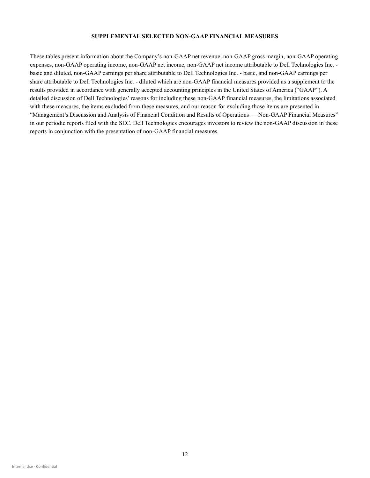#### **SUPPLEMENTAL SELECTED NON-GAAP FINANCIAL MEASURES**

These tables present information about the Company's non-GAAP net revenue, non-GAAP gross margin, non-GAAP operating expenses, non-GAAP operating income, non-GAAP net income, non-GAAP net income attributable to Dell Technologies Inc. basic and diluted, non-GAAP earnings per share attributable to Dell Technologies Inc. - basic, and non-GAAP earnings per share attributable to Dell Technologies Inc. - diluted which are non-GAAP financial measures provided as a supplement to the results provided in accordance with generally accepted accounting principles in the United States of America ("GAAP"). A detailed discussion of Dell Technologies' reasons for including these non-GAAP financial measures, the limitations associated with these measures, the items excluded from these measures, and our reason for excluding those items are presented in "Management's Discussion and Analysis of Financial Condition and Results of Operations — Non-GAAP Financial Measures" in our periodic reports filed with the SEC. Dell Technologies encourages investors to review the non-GAAP discussion in these reports in conjunction with the presentation of non-GAAP financial measures.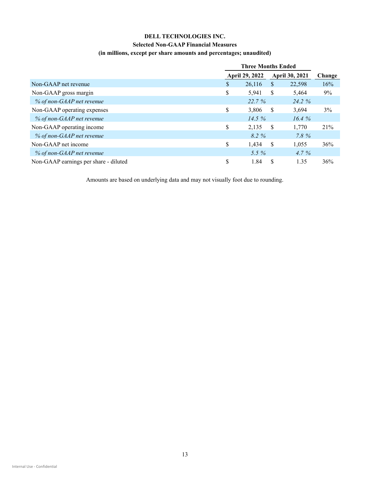## **Selected Non-GAAP Financial Measures (in millions, except per share amounts and percentages; unaudited)**

|                                       | <b>Three Months Ended</b> |                       |               |                |        |
|---------------------------------------|---------------------------|-----------------------|---------------|----------------|--------|
|                                       |                           | <b>April 29, 2022</b> |               | April 30, 2021 | Change |
| Non-GAAP net revenue                  | S                         | 26,116                | -S            | 22,598         | 16%    |
| Non-GAAP gross margin                 | \$                        | 5,941                 | <sup>\$</sup> | 5,464          | 9%     |
| % of non-GAAP net revenue             |                           | 22.7 %                |               | 24.2 %         |        |
| Non-GAAP operating expenses           | \$                        | 3,806                 | -S            | 3,694          | 3%     |
| % of non-GAAP net revenue             |                           | 14.5%                 |               | 16.4%          |        |
| Non-GAAP operating income             | \$                        | 2,135                 | - \$          | 1,770          | 21%    |
| % of non-GAAP net revenue             |                           | $8.2 \%$              |               | 7.8 $%$        |        |
| Non-GAAP net income                   | \$                        | 1,434                 | -S            | 1,055          | 36%    |
| % of non-GAAP net revenue             |                           | 5.5 $\%$              |               | $4.7\%$        |        |
| Non-GAAP earnings per share - diluted | \$                        | 1.84                  | <sup>\$</sup> | 1.35           | 36%    |

Amounts are based on underlying data and may not visually foot due to rounding.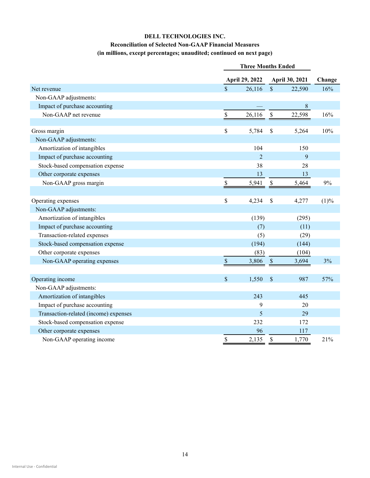## **Reconciliation of Selected Non-GAAP Financial Measures (in millions, except percentages; unaudited; continued on next page)**

|                                       |                    | <b>Three Months Ended</b> |                           |                |        |  |  |  |
|---------------------------------------|--------------------|---------------------------|---------------------------|----------------|--------|--|--|--|
|                                       |                    | <b>April 29, 2022</b>     |                           | April 30, 2021 | Change |  |  |  |
| Net revenue                           | $\mathbf{\hat{S}}$ | 26,116                    | $\mathbf{\hat{S}}$        | 22,590         | 16%    |  |  |  |
| Non-GAAP adjustments:                 |                    |                           |                           |                |        |  |  |  |
| Impact of purchase accounting         |                    |                           |                           | $8\phantom{1}$ |        |  |  |  |
| Non-GAAP net revenue                  | \$                 | 26,116                    | \$                        | 22,598         | 16%    |  |  |  |
|                                       |                    |                           |                           |                |        |  |  |  |
| Gross margin                          | \$                 | 5,784                     | \$                        | 5,264          | 10%    |  |  |  |
| Non-GAAP adjustments:                 |                    |                           |                           |                |        |  |  |  |
| Amortization of intangibles           |                    | 104                       |                           | 150            |        |  |  |  |
| Impact of purchase accounting         |                    | $\mathfrak{D}$            |                           | 9              |        |  |  |  |
| Stock-based compensation expense      |                    | 38                        |                           | 28             |        |  |  |  |
| Other corporate expenses              |                    | 13                        |                           | 13             |        |  |  |  |
| Non-GAAP gross margin                 | \$                 | 5,941                     | $\$$                      | 5,464          | 9%     |  |  |  |
|                                       |                    |                           |                           |                |        |  |  |  |
| Operating expenses                    | \$                 | 4,234                     | \$                        | 4,277          | (1)%   |  |  |  |
| Non-GAAP adjustments:                 |                    |                           |                           |                |        |  |  |  |
| Amortization of intangibles           |                    | (139)                     |                           | (295)          |        |  |  |  |
| Impact of purchase accounting         |                    | (7)                       |                           | (11)           |        |  |  |  |
| Transaction-related expenses          |                    | (5)                       |                           | (29)           |        |  |  |  |
| Stock-based compensation expense      |                    | (194)                     |                           | (144)          |        |  |  |  |
| Other corporate expenses              |                    | (83)                      |                           | (104)          |        |  |  |  |
| Non-GAAP operating expenses           | \$                 | 3,806                     | $\boldsymbol{\mathsf{S}}$ | 3,694          | 3%     |  |  |  |
|                                       |                    |                           |                           |                |        |  |  |  |
| Operating income                      | \$                 | 1,550                     | $\mathcal{S}$             | 987            | 57%    |  |  |  |
| Non-GAAP adjustments:                 |                    |                           |                           |                |        |  |  |  |
| Amortization of intangibles           |                    | 243                       |                           | 445            |        |  |  |  |
| Impact of purchase accounting         |                    | 9                         |                           | 20             |        |  |  |  |
| Transaction-related (income) expenses |                    | 5                         |                           | 29             |        |  |  |  |
| Stock-based compensation expense      |                    | 232                       |                           | 172            |        |  |  |  |
| Other corporate expenses              |                    | 96                        |                           | 117            |        |  |  |  |
| Non-GAAP operating income             | \$                 | 2,135                     | $\mathsf{\$}$             | 1,770          | 21%    |  |  |  |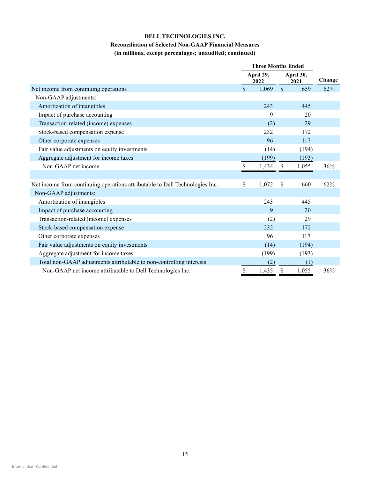## **Reconciliation of Selected Non-GAAP Financial Measures (in millions, except percentages; unaudited; continued)**

|                                                                              | <b>Three Months Ended</b> |       |                   |       |        |
|------------------------------------------------------------------------------|---------------------------|-------|-------------------|-------|--------|
|                                                                              | April 29,<br>2022         |       | April 30,<br>2021 |       | Change |
| Net income from continuing operations                                        | $\mathcal{S}$             | 1,069 | $\mathcal{S}$     | 659   | 62%    |
| Non-GAAP adjustments:                                                        |                           |       |                   |       |        |
| Amortization of intangibles                                                  |                           | 243   |                   | 445   |        |
| Impact of purchase accounting                                                |                           | 9     |                   | 20    |        |
| Transaction-related (income) expenses                                        |                           | (2)   |                   | 29    |        |
| Stock-based compensation expense                                             |                           | 232   |                   | 172   |        |
| Other corporate expenses                                                     |                           | 96    |                   | 117   |        |
| Fair value adjustments on equity investments                                 |                           | (14)  |                   | (194) |        |
| Aggregate adjustment for income taxes                                        |                           | (199) |                   | (193) |        |
| Non-GAAP net income                                                          |                           | 1,434 | S                 | 1,055 | 36%    |
|                                                                              |                           |       |                   |       |        |
| Net income from continuing operations attributable to Dell Technologies Inc. | $\mathbf{\hat{S}}$        | 1,072 | S                 | 660   | 62%    |
| Non-GAAP adjustments:                                                        |                           |       |                   |       |        |
| Amortization of intangibles                                                  |                           | 243   |                   | 445   |        |
| Impact of purchase accounting                                                |                           | 9     |                   | 20    |        |
| Transaction-related (income) expenses                                        |                           | (2)   |                   | 29    |        |
| Stock-based compensation expense                                             |                           | 232   |                   | 172   |        |
| Other corporate expenses                                                     |                           | 96    |                   | 117   |        |
| Fair value adjustments on equity investments                                 |                           | (14)  |                   | (194) |        |
| Aggregate adjustment for income taxes                                        |                           | (199) |                   | (193) |        |
| Total non-GAAP adjustments attributable to non-controlling interests         |                           | (2)   |                   | (1)   |        |
| Non-GAAP net income attributable to Dell Technologies Inc.                   | \$                        | 1,435 | \$                | 1,055 | 36%    |